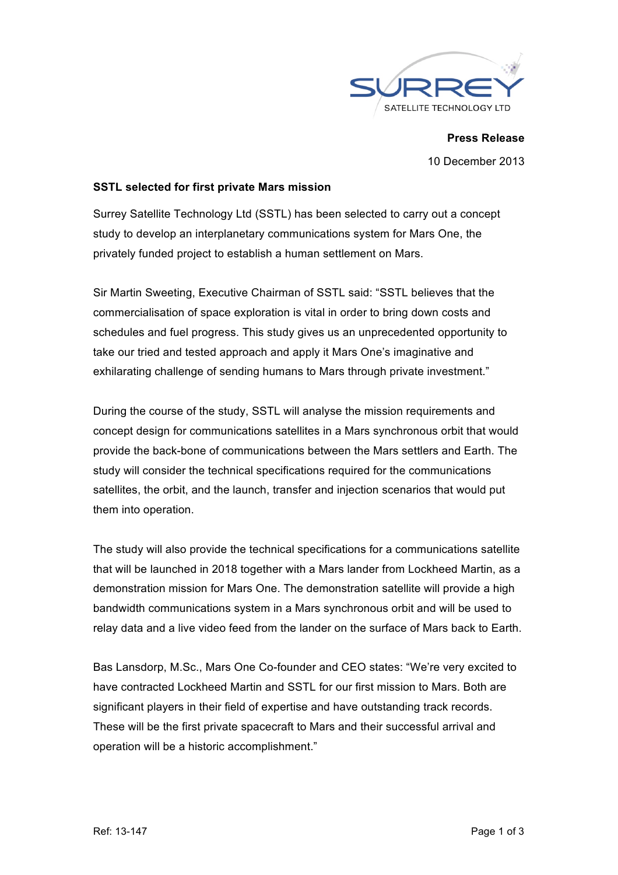

**Press Release** 10 December 2013

### **SSTL selected for first private Mars mission**

Surrey Satellite Technology Ltd (SSTL) has been selected to carry out a concept study to develop an interplanetary communications system for Mars One, the privately funded project to establish a human settlement on Mars.

Sir Martin Sweeting, Executive Chairman of SSTL said: "SSTL believes that the commercialisation of space exploration is vital in order to bring down costs and schedules and fuel progress. This study gives us an unprecedented opportunity to take our tried and tested approach and apply it Mars One's imaginative and exhilarating challenge of sending humans to Mars through private investment."

During the course of the study, SSTL will analyse the mission requirements and concept design for communications satellites in a Mars synchronous orbit that would provide the back-bone of communications between the Mars settlers and Earth. The study will consider the technical specifications required for the communications satellites, the orbit, and the launch, transfer and injection scenarios that would put them into operation.

The study will also provide the technical specifications for a communications satellite that will be launched in 2018 together with a Mars lander from Lockheed Martin, as a demonstration mission for Mars One. The demonstration satellite will provide a high bandwidth communications system in a Mars synchronous orbit and will be used to relay data and a live video feed from the lander on the surface of Mars back to Earth.

Bas Lansdorp, M.Sc., Mars One Co-founder and CEO states: "We're very excited to have contracted Lockheed Martin and SSTL for our first mission to Mars. Both are significant players in their field of expertise and have outstanding track records. These will be the first private spacecraft to Mars and their successful arrival and operation will be a historic accomplishment."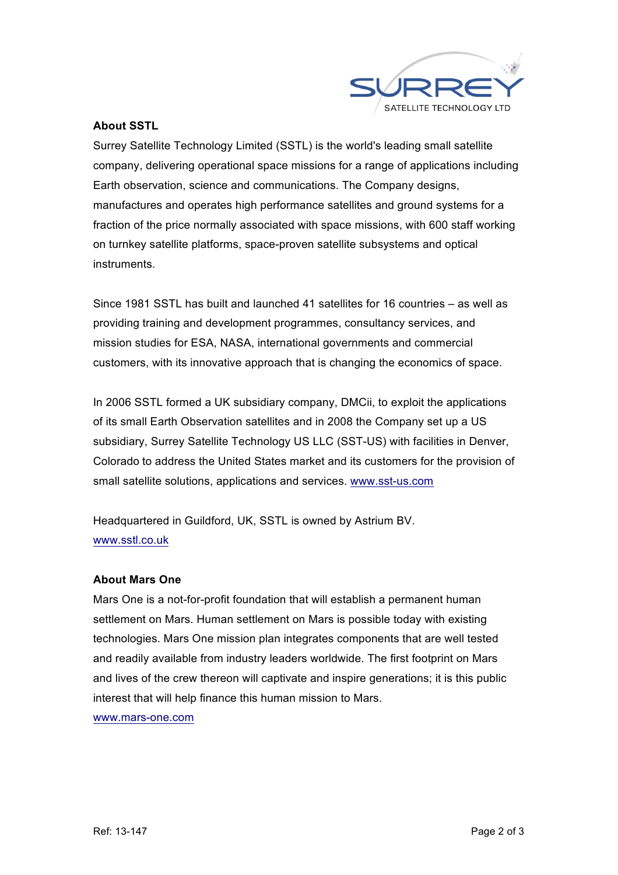

## **About SSTL**

Surrey Satellite Technology Limited (SSTL) is the world's leading small satellite company, delivering operational space missions for a range of applications including Earth observation, science and communications. The Company designs, manufactures and operates high performance satellites and ground systems for a fraction of the price normally associated with space missions, with 600 staff working on turnkey satellite platforms, space-proven satellite subsystems and optical instruments.

Since 1981 SSTL has built and launched 41 satellites for 16 countries – as well as providing training and development programmes, consultancy services, and mission studies for ESA, NASA, international governments and commercial customers, with its innovative approach that is changing the economics of space.

In 2006 SSTL formed a UK subsidiary company, DMCii, to exploit the applications of its small Earth Observation satellites and in 2008 the Company set up a US subsidiary, Surrey Satellite Technology US LLC (SST-US) with facilities in Denver, Colorado to address the United States market and its customers for the provision of small satellite solutions, applications and services. www.sst-us.com

Headquartered in Guildford, UK, SSTL is owned by Astrium BV. www.sstl.co.uk

#### **About Mars One**

Mars One is a not-for-profit foundation that will establish a permanent human settlement on Mars. Human settlement on Mars is possible today with existing technologies. Mars One mission plan integrates components that are well tested and readily available from industry leaders worldwide. The first footprint on Mars and lives of the crew thereon will captivate and inspire generations; it is this public interest that will help finance this human mission to Mars. www.mars-one.com